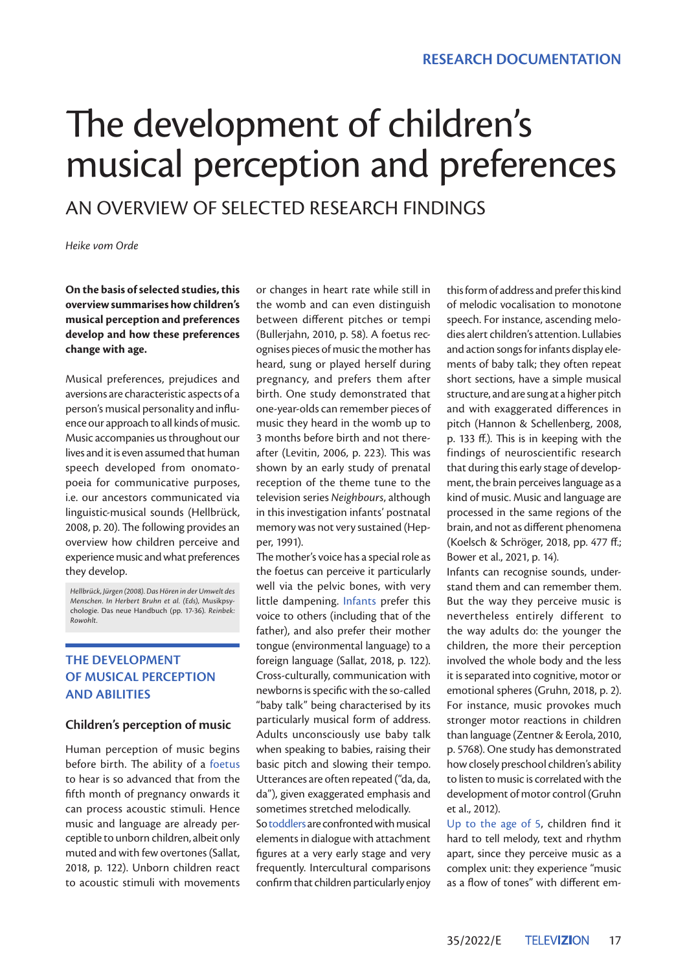# The development of children's musical perception and preferences

AN OVERVIEW OF SELECTED RESEARCH FINDINGS

*Heike vom Orde*

#### **On the basis of selected studies, this overview summarises how children's musical perception and preferences develop and how these preferences change with age.**

Musical preferences, prejudices and aversions are characteristic aspects of a person's musical personality and influence our approach to all kinds of music. Music accompanies us throughout our lives and it is even assumed that human speech developed from onomatopoeia for communicative purposes, i.e. our ancestors communicated via linguistic-musical sounds (Hellbrück, 2008, p. 20). The following provides an overview how children perceive and experience music and what preferences they develop.

*Hellbrück, Jürgen (2008). Das Hören in der Umwelt des Menschen. In Herbert Bruhn et al. (Eds),* Musikpsychologie. Das neue Handbuch (pp. 17-36)*. Reinbek: Rowohlt.*

# **THE DEVELOPMENT OF MUSICAL PERCEPTION AND ABILITIES**

#### **Children's perception of music**

Human perception of music begins before birth. The ability of a foetus to hear is so advanced that from the fifth month of pregnancy onwards it can process acoustic stimuli. Hence music and language are already perceptible to unborn children, albeit only muted and with few overtones (Sallat, 2018, p. 122). Unborn children react to acoustic stimuli with movements

or changes in heart rate while still in the womb and can even distinguish between different pitches or tempi (Bullerjahn, 2010, p. 58). A foetus recognises pieces of music the mother has heard, sung or played herself during pregnancy, and prefers them after birth. One study demonstrated that one-year-olds can remember pieces of music they heard in the womb up to 3 months before birth and not thereafter (Levitin, 2006, p. 223). This was shown by an early study of prenatal reception of the theme tune to the television series *Neighbours*, although in this investigation infants' postnatal memory was not very sustained (Hepper, 1991).

The mother's voice has a special role as the foetus can perceive it particularly well via the pelvic bones, with very little dampening. Infants prefer this voice to others (including that of the father), and also prefer their mother tongue (environmental language) to a foreign language (Sallat, 2018, p. 122). Cross-culturally, communication with newborns is specific with the so-called "baby talk" being characterised by its particularly musical form of address. Adults unconsciously use baby talk when speaking to babies, raising their basic pitch and slowing their tempo. Utterances are often repeated ("da, da, da"), given exaggerated emphasis and sometimes stretched melodically.

Sotoddlers are confronted with musical elements in dialogue with attachment figures at a very early stage and very frequently. Intercultural comparisons confirm that children particularly enjoy

this form of address and prefer this kind of melodic vocalisation to monotone speech. For instance, ascending melodies alert children's attention. Lullabies and action songs for infants display elements of baby talk; they often repeat short sections, have a simple musical structure, and are sung at a higher pitch and with exaggerated differences in pitch (Hannon & Schellenberg, 2008, p. 133 ff.). This is in keeping with the findings of neuroscientific research that during this early stage of development, the brain perceives language as a kind of music. Music and language are processed in the same regions of the brain, and not as different phenomena (Koelsch & Schröger, 2018, pp. 477 ff.; Bower et al., 2021, p. 14).

Infants can recognise sounds, understand them and can remember them. But the way they perceive music is nevertheless entirely different to the way adults do: the younger the children, the more their perception involved the whole body and the less it is separated into cognitive, motor or emotional spheres (Gruhn, 2018, p. 2). For instance, music provokes much stronger motor reactions in children than language (Zentner & Eerola, 2010, p. 5768). One study has demonstrated how closely preschool children's ability to listen to music is correlated with the development of motor control (Gruhn et al., 2012).

Up to the age of 5, children find it hard to tell melody, text and rhythm apart, since they perceive music as a complex unit: they experience "music as a flow of tones" with different em-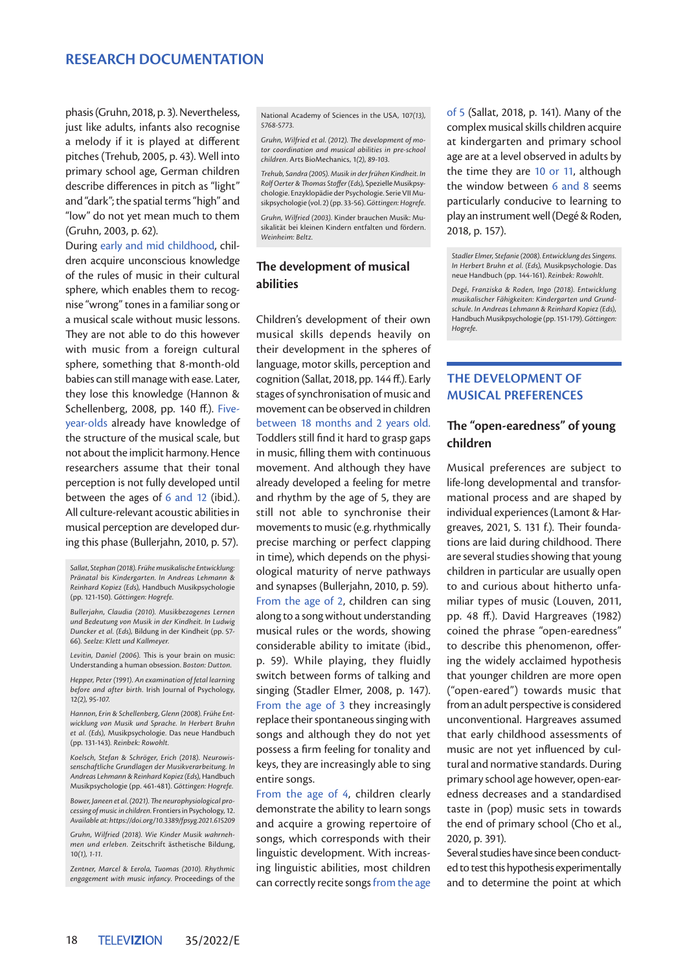## **RESEARCH DOCUMENTATION**

phasis (Gruhn, 2018, p. 3). Nevertheless, just like adults, infants also recognise a melody if it is played at different pitches (Trehub, 2005, p. 43). Well into primary school age, German children describe differences in pitch as "light" and "dark"; the spatial terms "high" and "low" do not yet mean much to them (Gruhn, 2003, p. 62).

During early and mid childhood, children acquire unconscious knowledge of the rules of music in their cultural sphere, which enables them to recognise "wrong" tones in a familiar song or a musical scale without music lessons. They are not able to do this however with music from a foreign cultural sphere, something that 8-month-old babies can still manage with ease. Later, they lose this knowledge (Hannon & Schellenberg, 2008, pp. 140 ff.). Fiveyear-olds already have knowledge of the structure of the musical scale, but not about the implicit harmony. Hence researchers assume that their tonal perception is not fully developed until between the ages of 6 and 12 (ibid.). All culture-relevant acoustic abilities in musical perception are developed during this phase (Bullerjahn, 2010, p. 57).

*Sallat, Stephan (2018). Frühe musikalische Entwicklung: Pränatal bis Kindergarten. In Andreas Lehmann & Reinhard Kopiez (Eds),* Handbuch Musikpsychologie (pp. 121-150)*. Göttingen: Hogrefe.*

*Bullerjahn, Claudia (2010). Musikbezogenes Lernen und Bedeutung von Musik in der Kindheit. In Ludwig Duncker et al. (Eds),* Bildung in der Kindheit (pp. 57- 66)*. Seelze: Klett und Kallmeyer.*

*Levitin, Daniel (2006).* This is your brain on music: Understanding a human obsession. *Boston: Dutton.* 

*Hepper, Peter (1991). An examination of fetal learning before and after birth.* Irish Journal of Psychology, 12*(2), 95-107.*

*Hannon, Erin & Schellenberg, Glenn (2008). Frühe Entwicklung von Musik und Sprache. In Herbert Bruhn et al. (Eds),* Musikpsychologie. Das neue Handbuch (pp. 131-143)*. Reinbek: Rowohlt.*

*Koelsch, Stefan & Schröger, Erich (2018). Neurowissenschaftliche Grundlagen der Musikverarbeitung. In Andreas Lehmann & Reinhard Kopiez (Eds),* Handbuch Musikpsychologie (pp. 461-481). *Göttingen: Hogrefe.*

*Bower, Janeen et al. (2021). The neurophysiological processing of music in children.* Frontiers in Psychology, 12. *Available at: https://doi.org/10.3389/fpsyg.2021.615209* 

*Gruhn, Wilfried (2018). Wie Kinder Musik wahrnehmen und erleben.* Zeitschrift ästhetische Bildung, 10*(1), 1-11.*

*Zentner, Marcel & Eerola, Tuomas (2010). Rhythmic engagement with music infancy.* Proceedings of the National Academy of Sciences in the USA, 107*(13), 5768-5773.*

*Gruhn, Wilfried et al. (2012). The development of motor coordination and musical abilities in pre-school children.* Arts BioMechanics, 1*(2), 89-103.*

*Trehub, Sandra (2005). Musik in der frühen Kindheit. In Rolf Oerter & Thomas Stoffer (Eds),* Spezielle Musikpsychologie. Enzyklopädie der Psychologie. Serie VII Musikpsychologie (vol. 2) (pp. 33-56). *Göttingen: Hogrefe.*

*Gruhn, Wilfried (2003).* Kinder brauchen Musik: Musikalität bei kleinen Kindern entfalten und fördern. *Weinheim: Beltz.*

#### **The development of musical abilities**

Children's development of their own musical skills depends heavily on their development in the spheres of language, motor skills, perception and cognition (Sallat, 2018, pp. 144 ff.). Early stages of synchronisation of music and movement can be observed in children between 18 months and 2 years old. Toddlers still find it hard to grasp gaps in music, filling them with continuous movement. And although they have already developed a feeling for metre and rhythm by the age of 5, they are still not able to synchronise their movements to music (e.g. rhythmically precise marching or perfect clapping in time), which depends on the physiological maturity of nerve pathways and synapses (Bullerjahn, 2010, p. 59). From the age of 2, children can sing along to a song without understanding musical rules or the words, showing considerable ability to imitate (ibid., p. 59). While playing, they fluidly switch between forms of talking and singing (Stadler Elmer, 2008, p. 147). From the age of 3 they increasingly replace their spontaneous singing with songs and although they do not yet possess a firm feeling for tonality and keys, they are increasingly able to sing entire songs.

From the age of 4, children clearly demonstrate the ability to learn songs and acquire a growing repertoire of songs, which corresponds with their linguistic development. With increasing linguistic abilities, most children can correctly recite songs from the age

of 5 (Sallat, 2018, p. 141). Many of the complex musical skills children acquire at kindergarten and primary school age are at a level observed in adults by the time they are 10 or 11, although the window between 6 and 8 seems particularly conducive to learning to play an instrument well (Degé & Roden, 2018, p. 157).

*Stadler Elmer, Stefanie (2008). Entwicklung des Singens. In Herbert Bruhn et al. (Eds),* Musikpsychologie. Das neue Handbuch (pp. 144-161). *Reinbek: Rowohlt.*

*Degé, Franziska & Roden, Ingo (2018). Entwicklung musikalischer Fähigkeiten: Kindergarten und Grundschule. In Andreas Lehmann & Reinhard Kopiez (Eds),*  Handbuch Musikpsychologie (pp. 151-179). *Göttingen: Hogrefe.*

# **THE DEVELOPMENT OF MUSICAL PREFERENCES**

#### **The "open-earedness" of young children**

Musical preferences are subject to life-long developmental and transformational process and are shaped by individual experiences (Lamont & Hargreaves, 2021, S. 131 f.). Their foundations are laid during childhood. There are several studies showing that young children in particular are usually open to and curious about hitherto unfamiliar types of music (Louven, 2011, pp. 48 ff.). David Hargreaves (1982) coined the phrase "open-earedness" to describe this phenomenon, offering the widely acclaimed hypothesis that younger children are more open ("open-eared") towards music that from an adult perspective is considered unconventional. Hargreaves assumed that early childhood assessments of music are not yet influenced by cultural and normative standards. During primary school age however, open-earedness decreases and a standardised taste in (pop) music sets in towards the end of primary school (Cho et al., 2020, p. 391).

Several studies have since been conducted to test this hypothesis experimentally and to determine the point at which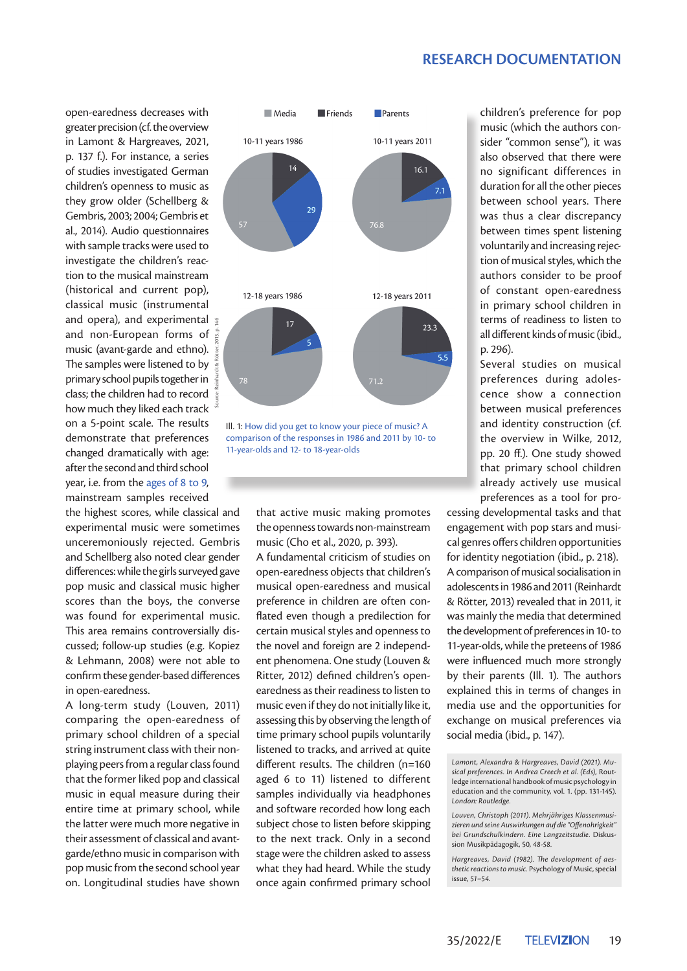#### **RESEARCH DOCUMENTATION**

open-earedness decreases with greater precision (cf. the overview in Lamont & Hargreaves, 2021, p. 137 f.). For instance, a series of studies investigated German children's openness to music as they grow older (Schellberg & Gembris, 2003; 2004; Gembris et al., 2014). Audio questionnaires with sample tracks were used to investigate the children's reaction to the musical mainstream (historical and current pop), classical music (instrumental and opera), and experimental and non-European forms of music (avant-garde and ethno). The samples were listened to by primary school pupils together in class; the children had to record how much they liked each track on a 5-point scale. The results demonstrate that preferences changed dramatically with age: after the second and third school year, i.e. from the ages of 8 to 9, mainstream samples received

the highest scores, while classical and experimental music were sometimes unceremoniously rejected. Gembris and Schellberg also noted clear gender differences: while the girls surveyed gave pop music and classical music higher scores than the boys, the converse was found for experimental music. This area remains controversially discussed; follow-up studies (e.g. Kopiez & Lehmann, 2008) were not able to confirm these gender-based differences in open-earedness.

A long-term study (Louven, 2011) comparing the open-earedness of primary school children of a special string instrument class with their nonplaying peers from a regular class found that the former liked pop and classical music in equal measure during their entire time at primary school, while the latter were much more negative in their assessment of classical and avantgarde/ethno music in comparison with pop music from the second school year on. Longitudinal studies have shown



Ill. 1: How did you get to know your piece of music? A comparison of the responses in 1986 and 2011 by 10- to 11-year-olds and 12- to 18-year-olds

that active music making promotes the openness towards non-mainstream music (Cho et al., 2020, p. 393).

A fundamental criticism of studies on open-earedness objects that children's musical open-earedness and musical preference in children are often conflated even though a predilection for certain musical styles and openness to the novel and foreign are 2 independent phenomena. One study (Louven & Ritter, 2012) defined children's openearedness as their readiness to listen to music even if they do not initially like it, assessing this by observing the length of time primary school pupils voluntarily listened to tracks, and arrived at quite different results. The children (n=160 aged 6 to 11) listened to different samples individually via headphones and software recorded how long each subject chose to listen before skipping to the next track. Only in a second stage were the children asked to assess what they had heard. While the study once again confirmed primary school

children's preference for pop music (which the authors consider "common sense"), it was also observed that there were no significant differences in duration for all the other pieces between school years. There was thus a clear discrepancy between times spent listening voluntarily and increasing rejection of musical styles, which the authors consider to be proof of constant open-earedness in primary school children in terms of readiness to listen to all different kinds of music (ibid., p. 296).

Several studies on musical preferences during adolescence show a connection between musical preferences and identity construction (cf. the overview in Wilke, 2012, pp. 20 ff.). One study showed that primary school children already actively use musical preferences as a tool for pro-

cessing developmental tasks and that engagement with pop stars and musical genres offers children opportunities for identity negotiation (ibid., p. 218). A comparison of musical socialisation in adolescents in 1986 and 2011 (Reinhardt & Rötter, 2013) revealed that in 2011, it was mainly the media that determined the development of preferences in 10- to 11-year-olds, while the preteens of 1986 were influenced much more strongly by their parents (Ill. 1). The authors explained this in terms of changes in media use and the opportunities for exchange on musical preferences via social media (ibid., p. 147).

*Lamont, Alexandra & Hargreaves, David (2021). Musical preferences. In Andrea Creech et al. (Eds),* Routledge international handbook of music psychology in education and the community, vol. 1. (pp. 131-145)*. London: Routledge.* 

*Louven, Christoph (2011). Mehrjähriges Klassenmusizieren und seine Auswirkungen auf die "Offenohrigkeit" bei Grundschulkindern. Eine Langzeitstudie.* Diskussion Musikpädagogik, 50*, 48-58.*

*Hargreaves, David (1982). The development of aesthetic reactions to music.* Psychology of Music, special issue*, 51–54.*